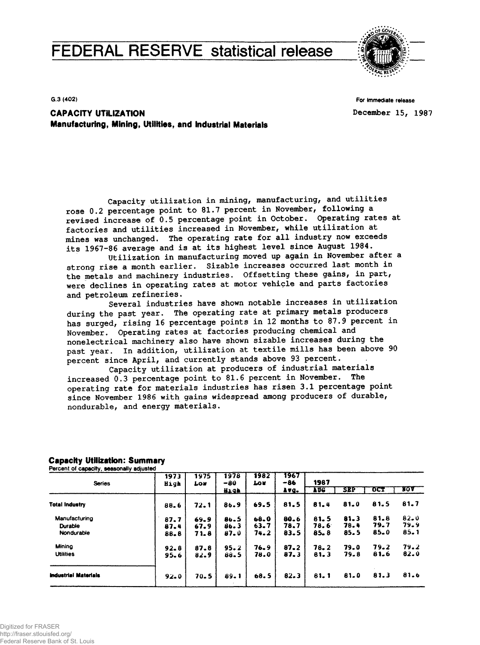# **FEDERAL RESERVE statistical release**



G 3 **(402)**

**For Immediate release December 15, 1987**

**CAPACITY UTILIZATION Manufacturing, Mining, Utilities, and Industrial Materials**

**Capacity utilization in mining, manufacturing, and utilities rose 0.2 percentage point to 81.7 percent in November, following a revised increase of 0.5 percentage point in October. Operating rates at factories and utilities increased in November, while utilization at mines was unchanged. The operating rate for all industry now exceeds its 1967-86 average and is at its highest level since August 1984.**

**Utilization in manufacturing moved up again in November after a strong rise a month earlier. Sizable increases occurred last month in the metals and machinery industries. Offsetting these gains, in part, were declines in operating rates at motor vehicle and parts factories and petroleum refineries.**

**Several industries have shown notable increases in utilization during the past year. The operating rate at primary metals producers has surged, rising 16 percentage points in 12 months to 87.9 percent in November. Operating rates at factories producing chemical and nonelectrical machinery also have shown sizable increases during the past year. In addition, utilization at textile mills has been above 90 percent since April, and currently stands above 93 percent.**

**Capacity utilization at producers of industrial materials increased 0.3 percentage point to 81.6 percent in November. The operating rate for materials industries has risen 3.1 percentage point since November 1986 with gains widespread among producers of durable, nondurable, and energy materials.**

| <b>Series</b>               | 1973<br>High | 1975<br><b>Low</b> | 1978<br>-80 | 1982<br><b>Lou</b> | 1967<br>-86 | 1987       |          |      |            |
|-----------------------------|--------------|--------------------|-------------|--------------------|-------------|------------|----------|------|------------|
|                             |              |                    | Hıqh        |                    | Avg.        | <b>TAC</b> | SEP      | OCT  | <b>YOV</b> |
| <b>Total Industry</b>       | 88.6         | 72.1               | 86.9        | 69.5               | 81.5        | 81.4       | 81.0     | 81.5 | 81,7       |
| Manufacturing               | 87.7         | 69.9               | 86.5        | 68.0               | 80.6        | 81.5       | $81 - 3$ | 81.8 | $82 - 0$   |
| Durable                     | 87.4         | 67.9               | 86.3        | 63.7               | 78.7        | 78.6       | 78.4     | 79.7 | 79.9       |
| Nondurable                  | 88.8         | 71.8               | $87 - 0$    | 74.2               | 83.5        | 85.8       | 85.5     | 85.0 | $85 - 1$   |
| Mining                      | $92 - 8$     | 87.8               | 95.2        | 76.9               | $87 - 2$    | 78.2       | 79.0     | 79.2 | 79.2       |
| <b>Utilities</b>            | 95.6         | 82.9               | 88.5        | 78.0               | 87.3        | 81.3       | 79.8     | 81.6 | $82 - 0$   |
| <b>Industrial Materials</b> | 92.0         | 70.5               | 89.1        | 68.5               | $82 - 3$    | 81.1       | 81.0     | 81.3 | 81.6       |

# **Capacity Utilization: Summary**

Percent of capacity, seasonally adjusted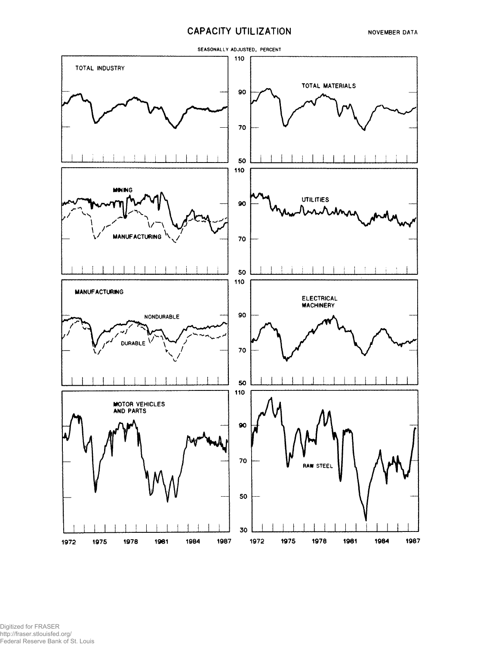## **CAPACITY UTILIZATION**



Digitized for FRASER http://fraser.stlouisfed.org/ Federal Reserve Bank of St. Louis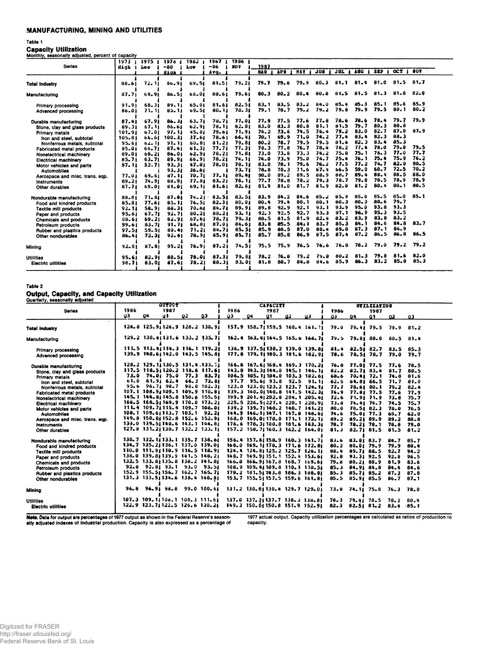## MANUFACTURING, MINING AND UTILITIES

### **Table 1**

Capacity Utilization **Monthly, seasonally adjusted, percent of capacity**

| monumy, oodoonany aujustuu, portonit of tapatritj | 1973 <sub>1</sub> | 1975       | 1978<br>- 1 | 1982      | 1967      | 1986 1 |            |          |          |            |            |          |            |          |            |
|---------------------------------------------------|-------------------|------------|-------------|-----------|-----------|--------|------------|----------|----------|------------|------------|----------|------------|----------|------------|
| Series                                            | High !            | <b>Lou</b> | $-80$       | Lou       | -86       | NOV    | 1987       |          |          |            |            |          |            |          |            |
|                                                   |                   |            | High        |           | Avq.      |        | <b>NAR</b> | AP B     | HAY      | <b>JUN</b> | <b>JUL</b> | AUG      | <b>SEP</b> | OCT 1    | <b>BOY</b> |
| <b>Total Industry</b>                             | 88.61             | 72.11      | 86.91       | 69.51     | 81.51     | 79.21  | 79.7       | 79.6     | 79.9     | $80 - 3$   | 81.1       | $81 - 4$ | 81.0       | 81.5     | 81.7       |
| Manufacturing                                     | $87 - 71$         | 69.91      | 86.51       | 68.01     | 80.61     | 79.61  | $80 - 3$   | $80 - 2$ | $80 - 4$ | 80.8       | 81.5       | 81.5     | 81.3       | 81.8     | 82.0       |
| Primary processing                                | 91.91             | 68.31      | 89.11       | 65.01     | $81 - 61$ | 82.51  | $83 - 1$   | 83.5     | $83 - 2$ | 84.0       | $85 - 4$   | 85.3     | 85.1       | 85.6     | 85.9       |
| Advanced processing                               | 86.01             | 71.11      | $85 - 11$   | 09.51     | $80 - 11$ | 78.31  | 79.1       | 78.7     | 79.2     | 79.2       | 79.8       | 79.9     | 79.5       | 80.1     | $80 - 2$   |
| Durable manufacturing                             | 87.41             | 67.91      | 86.31       | 63.71     | 78.71     | 77.01  | 77.9       | 77.5     | 77.6     | 77.8       | $78 - 6$   | 78.6     | 78.4       | 79.7     | 79.9       |
| Stone, clay and glass products                    | 89.31             | 67.11      | 86.61       | 62.91     | 78.11     | 82.81  | $83 - 0$   | 83.3     | $80 - 8$ | 81.1       | 81.5       | 79.7     | $80 - 3$   | $80 - 8$ |            |
| <b>Primary metals</b>                             | 101.91            | 67.01      | 97.11       | 45.81     | 79.61     | 71.91  | 74.2       | 73.6     | 74.5     | 76.4       | 79.2       | $83 - 0$ | 82.7       | 87.0     | 87.9       |
| Iron and steel, subtotal                          | 105.81            | 66.61      | 100.31      | 37.61     | 78.61     | 66.41  | 70.1       | 69.9     | 71.0     | 74.2       | 77.4       | $83 - 4$ | 82.3       | 88.3     |            |
| Nonferrous metals, subtotal                       | 95.61             | 62.11      | 91.11       | 60.81     | 81.21     | 79.81  | $80 - 2$   | 78.7     | 79.5     | 79.5       | 81.6       | $82 - 3$ | $83 - 4$   | 85.3     |            |
| Fabricated metal products                         | 85.01             | 64.71      | $87 - 41$   | 61.31     | 77.71     | 77.31  | 78.3       | 77.8     | 76.7     | 78.4       | 78.2       | 77.4     | 78.0       | 79.0     | 79.5       |
| Nonelectrical machinery                           | 89.01             | $68 - 21$  | $86 - 01$   | 62.91     | 78.21     | 71.81  | 73.0       | $73 - 8$ | 73.3     | 74.2       | $75 - 8$   | 75.1     | 76.3       | 77.0     | 77.7       |
| Electrical machinery                              | $85 - 71$         | $63 - 71$  | 89.91       | 66.91     | 78.21     | 74.11  | 74.0       | 73.9     | 75.0     | 74.7       | 75.4       | 76.1     | 75.4       | 75.9     | 76.2       |
| Motor vehicles and parts                          | 97.11             | 52.71      | $93 - 31$   | 47.01     | 78.01     | 78.11  | 83.0       | 78.1     | 79.6     | 76.2       | 77.5       | 77.2     | 74. 7      | $82 - 0$ | $80 - 5$   |
| <b>Automobiles</b>                                |                   |            | $93 - 31$   | 36.61     |           | 73.71  | 78.8       | 70.3     | 71.6     | 67.4       | 66.5       | 59.0     | 60.7       | 72.5     | 70.2       |
| Aerospace and misc. trans. eqp.                   | 77.01             | 69.61      | $87 - 11$   | 70.71     | 77.11     | 89.41  | $90 - 0$   | 89.2     | 89.5     | 88.9       | 88.7       | 89.4     | 88.4       | 88.5     | 88.0       |
| Instruments                                       | $89 - 21$         | 74.91      | 88.91       | 77.81     | 83.21     | 78.11  | 77.7       | 78.8     | 78.2     | 79.3       | 78.7       | 79.8     | 78.5       | 78.9     | 78.9       |
| Other durables                                    | $87 - 71$         | 69.01      | 81.01       | 69.11     | 81.61     | 82.61  | 81.9       | 81.0     | $81 - 7$ | $81 - 9$   | 82.0       | $81 - 2$ | 80.4       | $80 - 1$ | $80 - 5$   |
|                                                   |                   |            |             |           |           |        |            |          |          |            |            |          |            |          |            |
| Nondurable manufacturing                          | 88.81             | 71.81      | 87.01       | 74.21     | 83.51     | 83.51  | 83.9       | 84.2     | 84.6     | 85.2       | $85 - 9$   | 85.8     | 85.5       | $85 - 0$ | $85 - 1$   |
| Food and kindred products                         | 85.81             | 77.61      | 85.11       | 76.51     | 82.31     | 80.01  | $80 - 4$   | 79.4     | 80.1     | 80.1       | $80 - 3$   | $80 - 3$ | $80 - 6$   | 79.7     |            |
| <b>Textile mill products</b>                      | $92 - 11$         | 58.91      | 88.31       | 70.61     | 84.71     | 89.91  | 89.8       | $92 - 9$ | $92 - 1$ | 93.1       | 93.9       | 95.0     | 93.8       | 93.3     |            |
| Paper and products                                | 95.61             | 67.71      | $92 - 71$   | $80 - 21$ | $88 - 21$ | 93.11  | 92.3       | 92.5     | 92.7     | 93.3       | 97.1       | 96.9     | 95.3       | 93.5     |            |
| Chemicals and products                            | 88.61             | 69.21      | 82.91       | 67.61     | 78.71     | 79.31  | 80.5       | 81.5     | $81 - 9$ | $82 - 4$   | $83 - 2$   | $83 - 9$ | $83 - 8$   | $83 - 2$ |            |
| Petroleum products                                | 99.61             | $83 - 71$  | 91.71       | 68.81     | 87.01     | 84.61  | 83.8       | 85.5     | .84. 1   | 83.7       | $85 - 3$   | 84.1     | 84.6       | 84.8     | 83.7       |
| Rubber and plastics products                      | 97.51             | 59.51      | 89.41       | 71.21     | $84 - 71$ | 85.51  | 85.9       | 86.5     | 87.0     | $88 - 4$   | 89.0       | 87.3     | 87.1       | 86.9     |            |
| Other nondurables                                 | 86.41             | 72.31      | 92.41       | 78.91     | 85.91     | 85.71  | 85.7       | 85.8     | 86.9     | 87.5       | 87.4       | $87 - 2$ | $86 - 5$   | $86 - 8$ | $86 - 5$   |
| Mining                                            | $92 - 81$         | $87 - 81$  | 95.21       | 76.91     | 87.21     | 74.51  | 75.5       | 75.9     | 76.5     | 76.6       | 76.8       | 78.2     | 79.0       | 79.2     | 79.2       |
| Utilities                                         | 95.61             | 82.91      | 88.51       | 78.01     | 87.31     | 79.81  | 78.2       | 76.8     | 79.2     | 79.0       | $80 - 2$   | 81.3     | 79.8       | 81.6     | 82.0       |
| <b>Electric utilities</b>                         | 98.71             | 83.01      | 87.61       | 78.21     | 88.31     | 83.01  | $81 - 8$   | $80 - 7$ | 84.8     | $84 - 6$   | 85.9       | 86.3     | 83.2       | $85 - 0$ | $85 - 3$   |
|                                                   |                   |            |             |           |           |        |            |          |          |            |            |          |            |          |            |

#### **Table 2**

Output, **Capacity, and** Capacity Utilization

| Quarterly, seasonally adjusted         |      |                       | <b>OUTPUT</b> |      |                                                                      |      |                       |                         |    |                                            |          |                             |                       |                   |                |
|----------------------------------------|------|-----------------------|---------------|------|----------------------------------------------------------------------|------|-----------------------|-------------------------|----|--------------------------------------------|----------|-----------------------------|-----------------------|-------------------|----------------|
| <b>Series</b>                          | 1986 |                       | 1987          |      |                                                                      | 1986 |                       | <b>CAPACITY</b><br>1987 |    |                                            | 1986     |                             | UTILIZATION<br>1987   |                   |                |
|                                        | Q3   | 04                    | 91            | 02   | Q3                                                                   | QЗ   | $\Omega$ <sup>4</sup> | 01                      | 02 | 93                                         | Q3       | 04                          | 01                    | Q <sub>2</sub>    | Q <sub>3</sub> |
|                                        |      |                       |               |      |                                                                      |      |                       |                         |    |                                            |          |                             |                       |                   |                |
| <b>Total industry</b>                  |      |                       |               |      | 124.8 125.9 126.9 128.2 130.9                                        |      |                       |                         |    | 157.9 158.71159.5 160.4 161.31             |          |                             | $79.0$ $79.41$ $79.5$ | $79.9$ 81.2       |                |
|                                        |      |                       |               |      |                                                                      |      |                       |                         |    |                                            |          |                             |                       |                   |                |
| Manufacturing                          |      |                       |               |      | 129-2 130-41131-6 133-2 135-71                                       |      |                       |                         |    | 162.4 163.4 164.5 165.6 166.7              |          | $79.5$ $79.81$ $80.0$       |                       | $80.5$ $81.4$     |                |
|                                        |      |                       |               |      | 111.5 113.41114.3 116.1 119.21                                       |      |                       |                         |    | 136.9 137.5 138.2 139.0 139.8              |          | $81 - 4$ $82 - 51$ $82 - 7$ |                       | 83.5 85.3         |                |
| Primary processing                     |      |                       |               |      | 139.9 140.6:142.0 143.5 145.81                                       |      |                       |                         |    | 177.8 179.11180.3 181.6 182.91             | 78.6     | 78.51 78.7                  |                       |                   | 79.0 79.7      |
| Advanced processing                    |      |                       |               |      |                                                                      |      |                       |                         |    |                                            |          |                             |                       |                   |                |
| Durable manufacturing                  |      |                       |               |      | 128.2 129.1 130.5 131.4 133.71                                       |      |                       |                         |    | 166.8 167.61168.4 169.3 170.21             |          | $76.8$ $77.01$ $77.5$       |                       | 77.6              | 78.5           |
| Stone, clay and glass products         |      |                       |               |      | 117.5 118.51120.2 118.6 117.61                                       |      |                       |                         |    | 143.0 143.31144.0 145.1 146.11             | 82.2     | 82.71 83.4                  |                       | 81.7              | 80.5           |
| Primary metals                         |      |                       |               |      | 73.0 74.01 75.0 77.3 83.71                                           |      |                       |                         |    | 106.5 105.11104.0 103.3 102.61             | 68.6     | 70.41 72.1                  |                       | 74.8              | 81.6           |
| Iron and steel, subtotal               | 61.0 |                       | 61.9162.4     | 66.3 | 73.81                                                                |      |                       |                         |    | $97.7$ $95.6$ $93.8$ $92.5$ $91.1$         | $62 - 5$ | 64.81 66.5                  |                       | 71.7              | 81.0           |
| Nonferrous metals, subtotal            |      | $95.6$ $96.71$ $98.7$ |               |      | 98.0 102.31                                                          |      |                       |                         |    | 123.0 123.01 123.2 123.7 124.11            | 77.7     | 78.61 80.1                  |                       | 79.2              | 82.4           |
| Fabricated metal products              |      |                       |               |      | 107.1 108.9/109.1 109.9 110.81                                       |      |                       |                         |    | 139-3 140-01140-8 141-5 142-31             | 76.9     | 77.81 77.5                  |                       | 77.6              | 77.9           |
| Nonelectrical machinery                |      |                       |               |      | 145.1 144.81145.8 150.6 155.51                                       |      |                       |                         |    | 199.9 201.4 202.8 204.1 205.4              | 72.6     | 71.9171.9                   |                       | 73.8              | 75.7           |
| Electrical machinery                   |      |                       |               |      | 166.5 168.5/169.9 170.0 173.2/                                       |      |                       |                         |    | 225.5 226.51227.4 228.1 228.91             | $73 - 8$ | 74.41 74.7                  |                       | 74.5              | 75.7           |
| Motor vehicles and parts               |      |                       |               |      | 111.4 109.71115.4 109.7 108.01                                       |      |                       |                         |    | 139.2 139.7  140.2 140.7 141.21            | 80.0     | $78.51$ $82.3$              |                       | 78.0              | 76.5           |
| <b>Automobiles</b>                     |      |                       |               |      | 108.1 109.61113.7 103.1 92.21                                        |      |                       |                         |    | 144.9 146.11347.1 147.8 148.61             | 74.6     | 75.01 77.3                  |                       | $69 - 7$          | 62.0           |
| Aerospace and misc. trans. eqp.        |      |                       |               |      | 149-8 150-81152-8 152-6 152-91                                       |      |                       |                         |    | 168.0 169.01170.0 171.1 172.11             | 89.2     | 89.21 89.9                  |                       | 89.2              | 88.8           |
| <b>Instruments</b>                     |      |                       |               |      | 139.0 139.51180.6 143.1 144.81                                       |      |                       |                         |    | 176.6 178.3 180.0 181.6 183.3              | 78.7     | 78.21 78.1                  |                       | 78.8              | 79.0           |
| Other durables                         |      |                       |               |      | 127.8 131.21130.7 132.2 133.11                                       |      |                       |                         |    | 157.2 158.71160.3 162.2 164.01             | $81 - 3$ | 82.7181.5                   |                       | 81.5              | $81 - 2$       |
|                                        |      |                       |               |      | 130.7 132.11133.1 135.7 138.61                                       |      |                       |                         |    |                                            |          |                             |                       |                   |                |
| Nondurable manufacturing               |      |                       |               |      | 134.7 135.21136.1 137.0 139.01                                       |      |                       |                         |    | 156.4 157.61158.9 160.3 161.71             | 83.6     | 83.81 83.7                  |                       | 84.7              | $85 - 7$       |
| Food and kindred products              |      |                       |               |      | 110.0 111.91110.9 116.5 118.91                                       |      |                       |                         |    | 168.0 169.11170.3 171.6 172.81             | $80 - 2$ | 80.01 79.9                  |                       | 79.9              | 80.4           |
| <b>Textile mill products</b>           |      |                       |               |      | 138.0 139.8 139.9 141.5 148.21                                       |      |                       |                         |    | 124.4 124.8 125.2 125.7 126.1              | 88.4     | 89.71 88.5                  |                       | 92.7              | 94.2           |
| Paper and products                     |      |                       |               |      | 132.5 133.81135.8 138.2 141.81                                       |      |                       |                         |    | 148.7 149.91151.1 152.4 153.61             | 92.8     | $93.31$ $92.5$              |                       | $92 - 8$          | 96.5           |
| Chemicals and products                 |      |                       |               |      |                                                                      |      |                       |                         |    | 166.0 166.9 167.8 168.7 169.6              | $79 - 6$ | 80.21 80.9                  |                       | 81.9              | 83.6           |
| Petroleum products                     |      |                       |               |      | $92.8$ $92.8$ $93.1$ $93.0$ $93.5$<br>152.9 155.51156.7 162.7 165.71 |      |                       |                         |    | 108-9 109-44109-8 110-1 110-54             | $85 - 3$ | 84.91 84.8                  |                       | 84.4              | 84.6           |
| Rubber and plastics products           |      |                       |               |      | 131.3 133.51134.6 138.4 140.81                                       |      |                       |                         |    | 179.2 181.5 183.8 186.3 188.8              | 85.3     | $85.71$ $85.2$              |                       | 87.3              | $87 - 8$       |
| Other nondurables                      |      |                       |               |      |                                                                      |      |                       |                         |    | 153.7 155.5  157.5 159.6 161.8             | 85.5     | 85.9185.5                   |                       | 86,7              | $87 - 1$       |
| Mining                                 |      |                       |               |      | 96.8 96.91 98.8 99.0 100.61                                          |      |                       |                         |    | 131.2 130.81130.4 129.7 129.01             |          | $73.8$ $74.11$ $75.8$       |                       | 76.3              | 78.0           |
|                                        |      |                       |               |      | 107.3 109.11108.1 108.3 111.61                                       |      |                       |                         |    | $137 - 0$ $137 - 31137 - 7138 - 3138 - 81$ |          |                             | $78.3$ $79.41$ $78.5$ | $78.3\quad 80.4$  |                |
| Utilities<br><b>Electric utilities</b> |      |                       |               |      | 122.9 123.71122.5 126.6 130.21                                       |      |                       |                         |    | 149.3 150.01150.8 151.9 152.91             | 82.3     | $82 - 51 81 - 2$            |                       | $83 - 4$ $85 - 1$ |                |
|                                        |      |                       |               |      |                                                                      |      |                       |                         |    |                                            |          |                             |                       |                   |                |

**Note. Data for output are percentages of 1977 output as shown in the Federal Reserve's season-ally adjusted indexes of industrial production. Capacity is also expressed as a percentage of**

**1977 actual output. Capacity utilization percentages are calculated as ratios of production to capacity.**